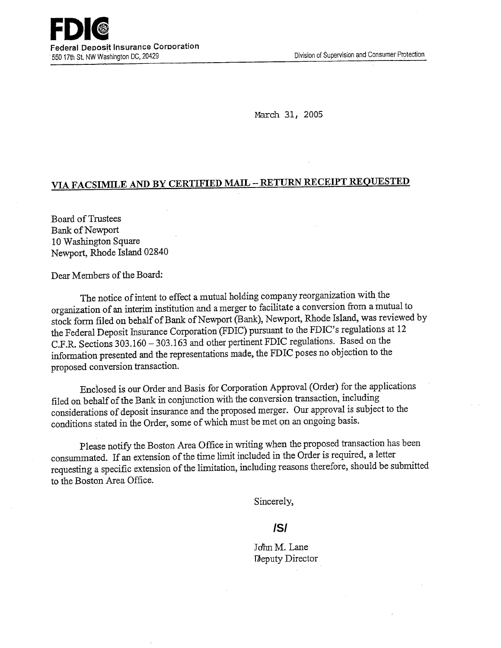March 31, 2005

## **VIA FACSIMILE AND BY CERTIFIED MAIL** - **RETURN RECEIPT REQUESTED**

Board of Trustees Bank of Newport 10 Washington Square Newport, Rhode Island 02840

Dear Members of the Board:

The notice of intent to effect a mutual holding company reorganization with the organization of an interim institution and a merger to facilitate a conversion from a mutual to stock form filed on behalf of Bank of Newport (Bank), Newport, Rhode Island, was reviewed by the Federal Deposit Insurance Corporation (FDIC) pursuant to the FDIC's regulations at 12 C.F.R. Sections 303.160 - 303.163 and other pertinent FDIC regulations. Based on the information presented and the representations made, the FDIC poses no objection to the proposed conversion transaction.

Enclosed is our Order and Basis for Corporation Approval (Order) for the applications filed on behalf of the Bank in conjunction with the conversion transaction, including considerations of deposit insurance and the proposed merger. Our approval is subject to the conditions stated in the Order, some of which must be met on an ongoing basis.

Please notify the Boston Area Office in writing when the proposed transaction has been consummated. If an extension of the time limit included in the Order is required, a letter requesting a specific extension of the limitation, including reasons therefore, should be submitted to the Boston Area Office.

Sincerely,

## **/S/**

John M. Lane Deputy Director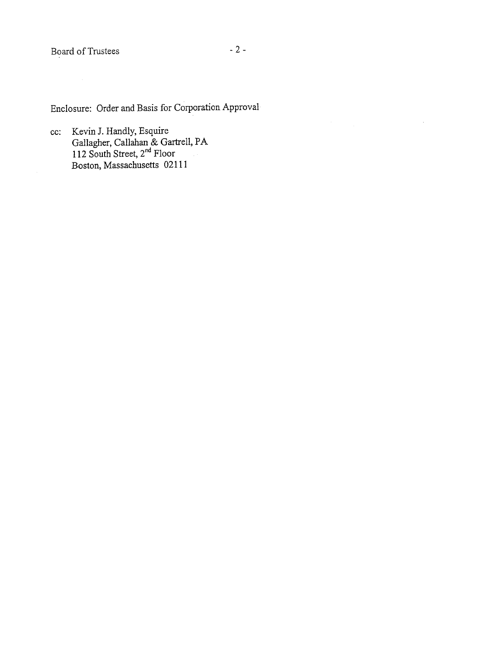cc: Kevin J. Handly, Esquire Gallagher, Callahan & Gartrell, PA 12 South Street, 2<sup>nd</sup> Floor Boston, Massachusetts 02111

 $\sim$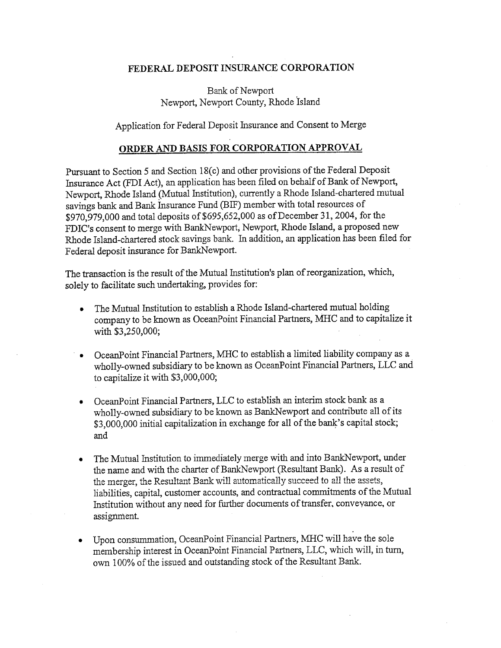## **FEDERAL DEPOSIT INSURANCE CORPORATION**

Bank of Newport Newport, Newport County, Rhode Island

Application for Federal Deposit Insurance and Consent to Merge

## **ORDER AND BASIS FOR CORPORATION APPROVAL**

Pursuant to Section *5* and Section 18(c) and other provisions of the Federal Deposit Insurance Act (FDI Act), an application has been filed on behalf of Bank of Newport, Newport, Rhode Island (Mutual Institution), currently a Rhode Island-chartered mutual savings bank and Bank Insurance Fund (BIF) member with total resources of \$970,979,000 and total deposits *of \$695,652,000* as of December 31, 2004, for the FDIC's consent to merge with BankNewport, Newport, Rhode Island, a proposed new Rhode Island-chartered stock savings bank. In addition, an application has been filed for Federal deposit insurance for BankNewport.

The transaction is the result of the Mutual Institution's plan of reorganization, which, solely to facilitate such undertaking, provides for:

- The Mutual Institution to establish a Rhode Island-chartered mutual holding company to be known as OceanPoint Financial Partners, MIHC and to capitalize it with \$3,250,000;
- OceanPoint Financial Partners, MHC to establish a limited liability company as a wholly-owned subsidiary to be known as OceanPoint Financial Partners, LLC and to capitalize it with \$3,000,000;
- OceanPoint Financial Partners, LLC to establish an interim stock bank as a wholly-owned subsidiary to be known as BankNewport and contribute all of its \$3,000,000 initial capitalization in exchange for all of the bank's capital stock; and
- The Mutual Institution to immediately merge with and into BankNewport, under the name and with the charter of BankNewport (Resultant Bank). As a result of the merger, the Resultant Bank will automatically succeed to all the assets, liabilities, capital, customer accounts, and contractual commitments of the Mutual Institution without any need for further documents of transfer, conveyance, or assignment.
- Upon consummation, OceanPoint Financial Partners, MHC will have the sole membership interest in OceanPoint Financial Partners, LLC, which will, in turn, own 100% of the issued and outstanding stock of the Resultant Bank.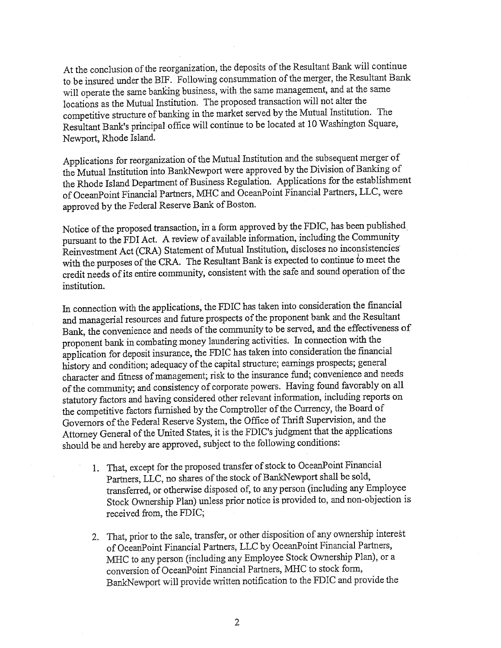At the conclusion of the reorganization, the deposits of the Resultant Bank will continue to be insured under the BIF. Following consummation of the merger, the Resultant Bank will operate the same banking business, with the same management, and at the same locations as the Mutual Institution. The proposed transaction will not alter the competitive structure of banking in the market served by the Mutual Institution. The Resultant Bank's principal office will continue to be located at 10 Washington Square, Newport, Rhode Island.

Applications for reorganization of the Mutual Institution and the subsequent merger of the Mutual Institution into BarikNewport were approved by the Division of Banking of the Rhode Island Department of Business Regulation. Applications for the establishment of OceanPoint Financial Partners, MIHC and OceanPoint Financial Partners, LLC, were approved by the Federal Reserve Bank of Boston.

Notice of the proposed transaction; in a form approved by the FDIC, has been published pursuant to the FDI Act. A review of available information, including the Community Reinvestment Act (CRA) Statement of Mutual Institution, discloses no inconsistencies with the purposes of the CRA. The Resultant Bank is expected to continue to meet the credit needs of its entire community, consistent with the safe and sound operation of the institution.

In connection with the applications, the FDIC has taken into consideration the financial and managerial resources and future prospects of the proponent bank and the Resultant Bank, the convenience and needs of the community to be served, and the effectiveness of proponent bank in combating money laundering activities. In connection with the application for deposit insurance, the FDIC has taken into consideration the financial history and condition; adequacy of the capital structure; earnings prospects; general character and fitness of management; risk to the insurance fund; convenience and needs of the community; and consistency of corporate powers. Having found favorably on all statutory factors and having considered other relevant information, including reports on the competitive factors furnished by the Comptroller of the Currency, the Board of Governors of the Federal Reserve System, the Office of Thrift Supervision, and the Attorney General of the United States, it is the FDIC's judgment that the applications should be and hereby are approved, subject to the following conditions:

- 1. That, except for the proposed transfer of stock to OceanPoint Financial Partners, LLC, no shares of the stock of BankNewport shall be sold, transferred, or otherwise disposed of, to any person (including any Employee Stock Ownership Plan) unless prior notice is provided to, and non-objection is received from, the FDIC;
- 2. That, prior to the sale, transfer, or other disposition of any ownership interest of OceanPoint Financial Partners, LLC by OceanPoint Financial Partners, MHC to any person (including any Employee Stock Ownership Plan), or a conversion of OceanPoint Financial Partners, AMC to stock form, BankNewport will provide written notification to the FDIC and provide the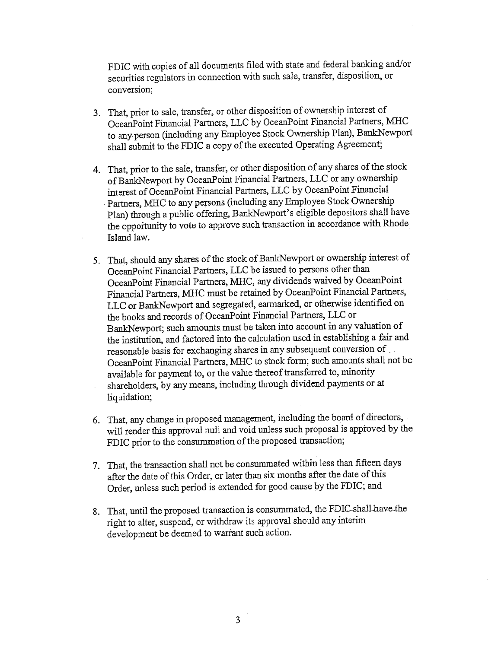FDIC with copies of all documents filed with state and federal banking and/or securities regulators in connection with such sale, transfer, disposition, or conversion;

- 3. That, prior to sale, transfer, or other disposition of ownership interest of OceanPoint Financial Partners, LLC by OceanPoint Financial Partners, MHC to any-person (including any Employee Stock Ownership Plan), BankNewport shall submit to the FDIC a copy of the executed Operating Agreement;
- 4. That, prior to the sale, transfer, or other disposition of any shares of the stock of BankNewport by OceanPoint Financial Partners, LLC or any ownership interest of OceanPoint Financial Partners, LLC by OceanPoint Financial Ł Partners, MHC to any persons (including any Employee Stock Ownership Plan) through a public offering, BankNewport's eligible depositors shall have the opportunity to vote to approve such transaction in accordance with Rhode Island law.
- 5. That, should any shares of the stock of BankNewport or ownership interest of OceanPoint Financial Partners, LLC be issued to persons other than OceanPoint Financial Partners, MHC, any dividends waived by OceanPoint Financial Partners, MIHC must be retained by OceanPoint Financial Partners, LLC or BankNewport and segregated, earmarked, or otherwise identified on the books and records of OceanPoint Financial Partners, LLC or Bank-Newport; such amounts must be taken into account in any valuation of the institution, and factored into the calculation used in establishing a fair and reasonable basis for exchanging shares in any subsequent conversion of OceanPoint Financial Partners, MIHC to stock form; such amounts shall not be available for payment to, or the value thereof transferred to, minority shareholders, by any means, including through dividend payments or at liquidation;
- 6. That, any change in proposed management, including the board of directors, will render this approval null and void unless such proposal is approved by the FDIC prior to the consummation of the proposed transaction;
- That, the transaction shall not be consummated within less than fifteen days after the date of this Order, or later than six months after the date of this Order, unless such period is extended for good cause by the FDIC; and
- 8. That, until the proposed transaction is consummated, the FDIC shall have the right to alter, suspend, or withdraw its approval should any interim development be deemed to warrant such action.